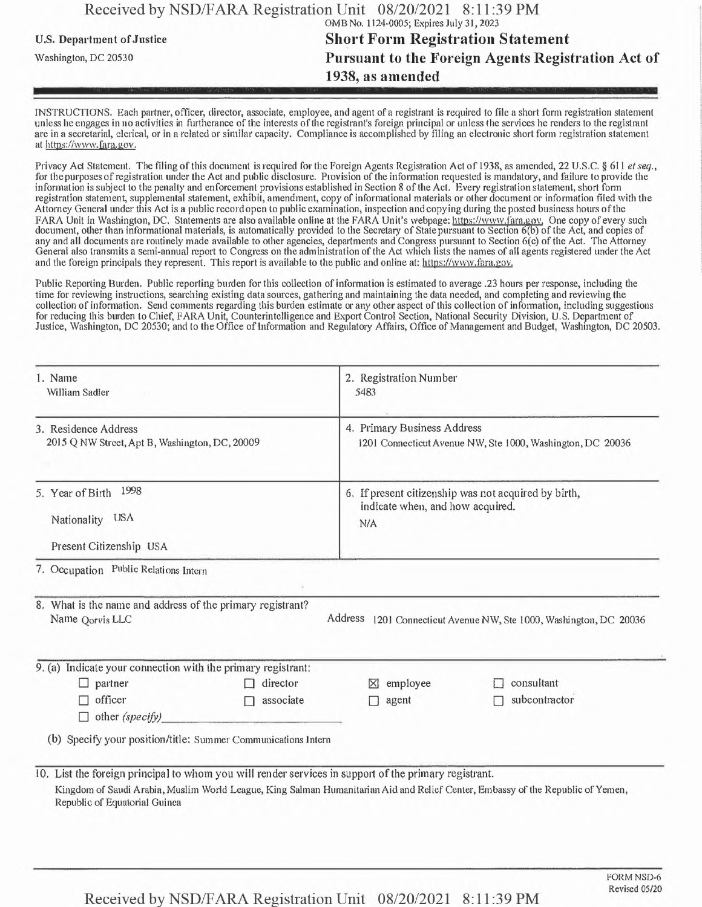|                            | Received by NSD/FARA Registration Unit 08/20/2021 8:11:39 PM |  |  |
|----------------------------|--------------------------------------------------------------|--|--|
|                            | OMB No. 1124-0005; Expires July 31, 2023                     |  |  |
| U.S. Department of Justice | <b>Short Form Registration Statement</b>                     |  |  |
| Washington, DC 20530       | <b>Pursuant to the Foreign Agents Registration Act of</b>    |  |  |
|                            | 1938, as amended                                             |  |  |
|                            |                                                              |  |  |

INSTRUCTIONS. Each partner, officer, director, associate, employee, and agent of a registrant is required to file a short form registration statement unless he engages in no activities in furtherance of the interests of the registrant's foreign principal or unless the services he renders to the registrant are in a secretarial, clerical, or in a related or similar capacity. Compliance is accomplished by filing an electronic short form registration statement at https://www.fara.gov.

Privacy Act Statement. The filing ofthis document is required for the Foreign Agents Registration Act of 1938, as amended, 22 U.S.C. § 611 *etseq.,* for the purposes ofregistration under the Act and public disclosure. Provision of the information requested is mandatory, and failure to provide the information is subject to the penalty and enforcement provisions established in Section 8 ofthe Act. Every registration statement, short form registration statement, supplemental statement, exhibit, amendment, copy of informational materials or other document or information filed with the Attorney General under this Act is a public record open to public examination, inspection and copying during the posted business hours ofthe FARA Unit in Washington, DC. Statements are also available online at the FARA Unit's webpage: https://www.fara.gov. One copy of every such document, other than informational materials, is automatically provided to the Secretary of State pursuant to Section 6(b) of the Act, and copies of any and all documents are routinely made available to other agencies, departments and Congress pursuant to Section 6(c) of the Act. The Attorney General also transmits a semi-annual report to Congress on the administration ofthe Act which lists the names of all agents registered under the Act and the foreign principals they represent. This report is available to the public and online at: https://www.fara.gov.

Public Reporting Burden. Public reporting burden for this collection ofinformation is estimated to average .23 hours per response, including the time for reviewing instructions, searching existing data sources, gathering and maintaining the data needed, and completing and reviewing the collection of information. Send comments regarding this burden estimate or any other aspect of this collection of information, including suggestions for reducing this burden to Chief, FARA Unit, Counterintelligence and Export Control Section, National Security Division, U.S. Department of Justice, Washington, DC 20530; and to the Office of Information and Regulatory Affairs, Office of Management and Budget, Washington, DC 20503.

| 1. Name<br>William Sadler<br>3. Residence Address<br>2015 Q NW Street, Apt B, Washington, DC, 20009   |                | 2. Registration Number<br>5483                                                            |                                                                                                                                 |  |  |
|-------------------------------------------------------------------------------------------------------|----------------|-------------------------------------------------------------------------------------------|---------------------------------------------------------------------------------------------------------------------------------|--|--|
|                                                                                                       |                | 4. Primary Business Address<br>1201 Connecticut Avenue NW, Ste 1000, Washington, DC 20036 |                                                                                                                                 |  |  |
| 1998<br>5. Year of Birth<br><b>USA</b><br>Nationality<br>Present Citizenship USA                      |                | <b>N/A</b>                                                                                | 6. If present citizenship was not acquired by birth,<br>indicate when, and how acquired.                                        |  |  |
| 7. Occupation Public Relations Intern                                                                 |                |                                                                                           |                                                                                                                                 |  |  |
| 8. What is the name and address of the primary registrant?<br>Name Qorvis LLC                         |                |                                                                                           | Address 1201 Connecticut Avenue NW, Ste 1000, Washington, DC 20036                                                              |  |  |
| 9. (a) Indicate your connection with the primary registrant:                                          |                |                                                                                           |                                                                                                                                 |  |  |
| $\Box$ partner                                                                                        | director       | employee<br>⊠                                                                             | consultant                                                                                                                      |  |  |
| officer<br>$\Box$ other (specify)                                                                     | associate<br>П | agent<br>п                                                                                | subcontractor                                                                                                                   |  |  |
| (b) Specify your position/title: Summer Communications Intern                                         |                |                                                                                           |                                                                                                                                 |  |  |
| 10. List the foreign principal to whom you will render services in support of the primary registrant. |                |                                                                                           |                                                                                                                                 |  |  |
|                                                                                                       |                |                                                                                           | Kingdom of Saudi Arabia, Muslim World League, King Salman Humanitarian Aid and Relief Center, Embassy of the Republic of Yemen, |  |  |